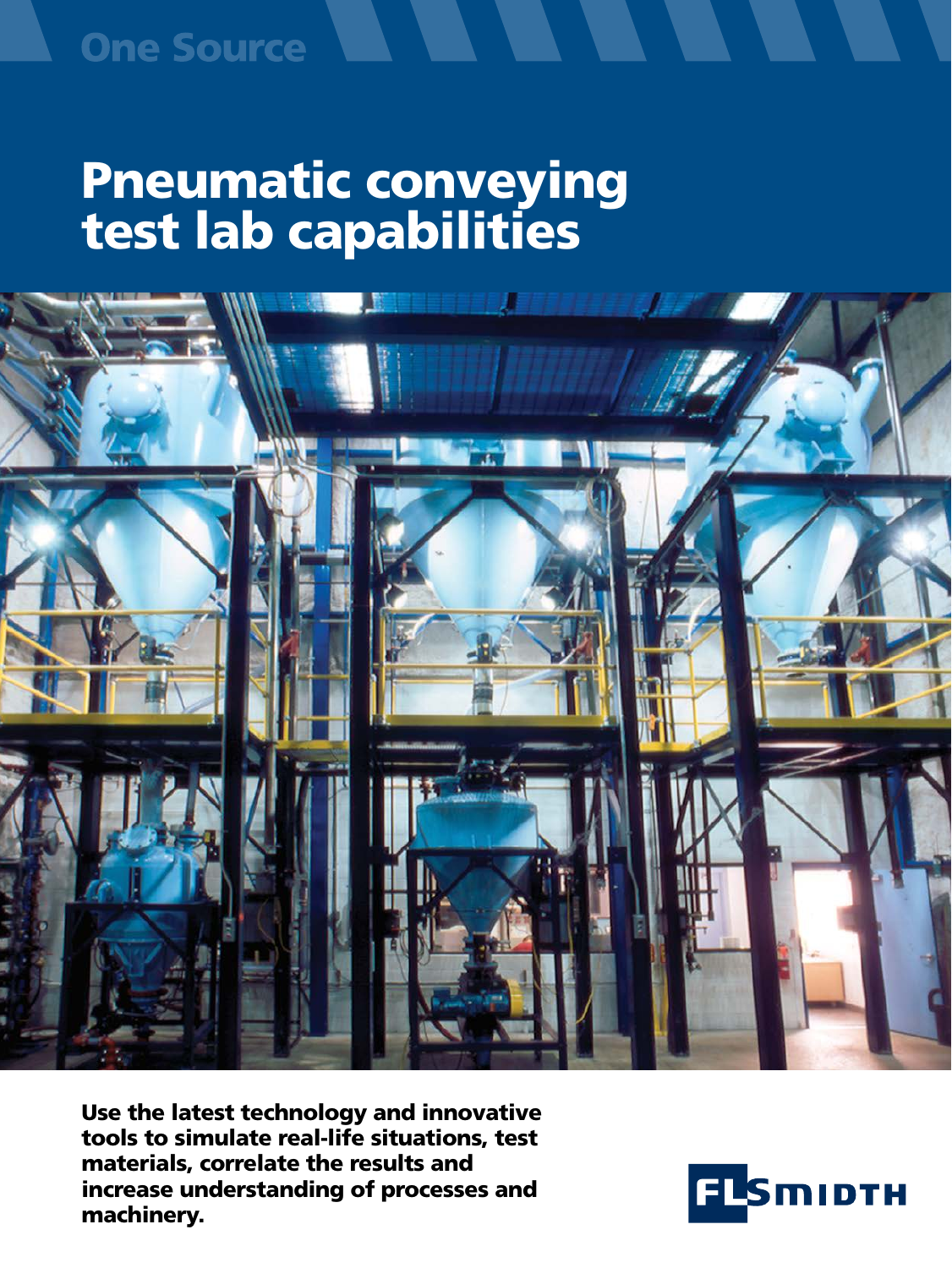## Pneumatic conveying test lab capabilities



Use the latest technology and innovative tools to simulate real-life situations, test materials, correlate the results and increase understanding of processes and machinery.